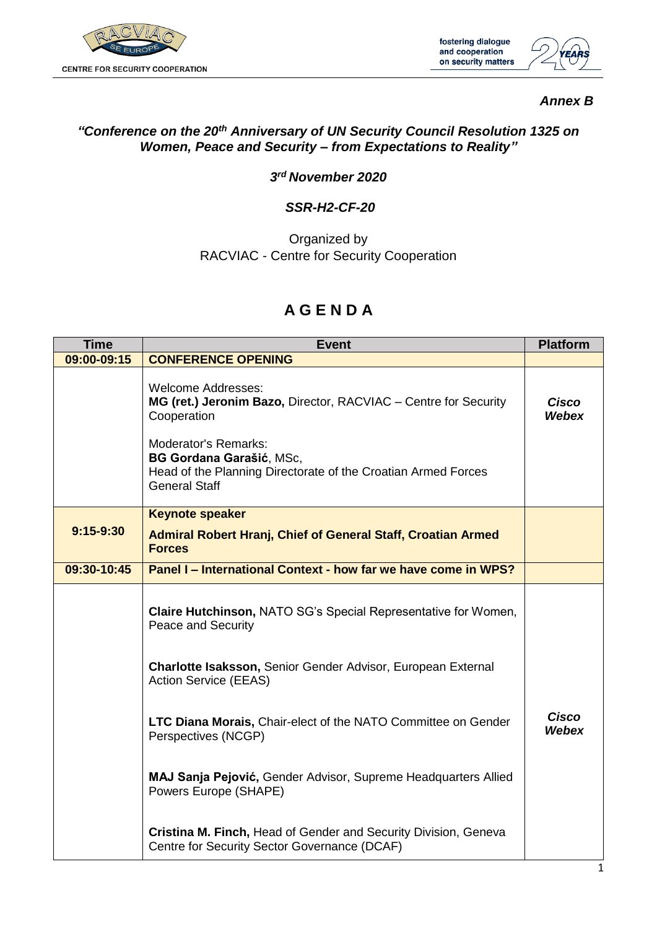

fostering dialogue and cooperation on security matters



### *Annex B*

## *"Conference on the 20th Anniversary of UN Security Council Resolution 1325 on Women, Peace and Security – from Expectations to Reality"*

#### *3 rd November 2020*

#### *SSR-H2-CF-20*

Organized by RACVIAC - Centre for Security Cooperation

# **A G E N D A**

| <b>Time</b>   | <b>Event</b>                                                                                                                                     | <b>Platform</b>       |
|---------------|--------------------------------------------------------------------------------------------------------------------------------------------------|-----------------------|
| 09:00-09:15   | <b>CONFERENCE OPENING</b>                                                                                                                        |                       |
|               | <b>Welcome Addresses:</b><br>MG (ret.) Jeronim Bazo, Director, RACVIAC - Centre for Security<br>Cooperation                                      | Cisco<br><b>Webex</b> |
|               | Moderator's Remarks:<br><b>BG Gordana Garašić, MSc,</b><br>Head of the Planning Directorate of the Croatian Armed Forces<br><b>General Staff</b> |                       |
|               | <b>Keynote speaker</b>                                                                                                                           |                       |
| $9:15 - 9:30$ | <b>Admiral Robert Hranj, Chief of General Staff, Croatian Armed</b><br><b>Forces</b>                                                             |                       |
| 09:30-10:45   | Panel I – International Context - how far we have come in WPS?                                                                                   |                       |
|               | <b>Claire Hutchinson, NATO SG's Special Representative for Women,</b><br>Peace and Security                                                      |                       |
|               | <b>Charlotte Isaksson, Senior Gender Advisor, European External</b><br><b>Action Service (EEAS)</b>                                              |                       |
|               | LTC Diana Morais, Chair-elect of the NATO Committee on Gender<br>Perspectives (NCGP)                                                             | <b>Cisco</b><br>Webex |
|               | MAJ Sanja Pejović, Gender Advisor, Supreme Headquarters Allied<br>Powers Europe (SHAPE)                                                          |                       |
|               | Cristina M. Finch, Head of Gender and Security Division, Geneva<br>Centre for Security Sector Governance (DCAF)                                  |                       |